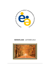

# **NEWSFLASH** - AUTUMN 2012

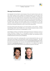

# **Message from the Board**

Early September the board had her annual meeting in Vienna, the Capitol of Austria, where next year's AETAP conference will be organized. The meeting took place at the head office of the Vienna police. The Threat Assessment Unit was very generous in providing us a meeting room, and three of their team members advised us during the day. They will also assist us during the conference. The board was furthermore honored by the visit of Police General Karl Mahrer, vice president of the Vienna Police. He was there on Saturday morning and gave a warm welcome to the AETAP board, offering several high standing services and opportunities for the 2013 conference, which will make next year's conference the place to be. During the coming months the necessary meetings will take place in order to work out these opportunities.

The board meeting started with giving our new board members a warm welcome - Professor Henrik Belfrage and Ms. Andrea Wechlin. We are very fortunate having these experts on board and looking forward to many years of working together as a team.

Henrik Belfrage is Professor of Criminology at Mid Sweden University in Sundsvall, as well as in Norway (University of Bergen). He is a well-regarded researcher in the field of forensic psychology and threat assessment. Henrik develops and evaluates risk instruments (e.g. the B-SAFER, SAM, HCR-20, SVR-20 and the PATRIARCH).

*Andrea Wechlin* is head of the coordinating office in Lucerne (Switzerland) that takes care of all interventions and strategies concerning domestic violence and threat management. Her office falls under the justice and safety department of Lucerne (www.gewaltpraevention.lu.ch). Besides her work for the department, she is also one of the directors of the woman shelter of central Switzerland (www.frauenhaus-luzern.ch). In her country she is an authority in the field of domestic violence and has a great amount of case and advisory experience in this field.



Andrea Wechlin *Henrik Belfrage* 

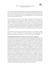

One of our board members left the organization. Mr. Peter Sund informed the board that he has to spend more time with his work for the Finnish Police College, and that his daily work does not has so much to do with threat assessment or - management anymore. We would like to thank Peter for all his work and efforts for the association throughout the years and wish him all the best for his private and professional life.

During the meeting several general issues were discussed, such as the current financial situation of the association. In the next (winter) edition of Newsflash we will provide more administrative-organizational information as well our financial resources. Our association's website is currently under construction and will be rebuilt to a user friendly and up to date service provider. The board has decided that our attention should be more focused on expanding our number of members, because we believed that our association is a professional benefit to those working in the field of threat assessment and - management. We also would like to ask our current members to spread the word about our association and help us make our organization grow. 

The board takes note of two important international developments. First of all, AETAP is getting involved in more than only setting up the annual conference and providing high value presentations to the threat assessment arena, as it should be for a professional organization.

#### **Professional Quality Standards for European Threat Assessment & - Management**

The demand for threat assessment and - management services in European governmental bodies, private industries, schools and universities have been growing during the past decade. As a consequence of these developments there is an increasing necessity to describe and define professional quality standards for threat management. AETAP will be the body responsible for providing a clear set of guidelines when it concerns the certification of individual professionals in Europe providing threat assessment and management services, as well as for European based institutions (organizations) who have installed threat management expert teams and - systems. During AETAP's 2010 conference in The Hague (The Netherlands) an AETAP certification working group was appointed by the board: Jens Hoffman (AETAP board member), Bram van der Meer (AETAP president), and Katherine Timmel Zamboni (former AETAP board member) The mission of this working group was defined as developing  $(1)$  quality standards, and  $(2)$ describing the AETAP certification process for individuals as well as institutions. Before the summer recess the working group presented their official document: *'Certification of European Individual Professionals and Organizations in Threat Assessment and - Management'. With the* advise of the working group's international advisory board (dr. Stephen Hart, dr. J. Reid Meloy, dr. Stephen White, dr. Lisa Warren) the working group is currently working on the final draft which will be published on the AETAP website and put into practice before the end of the year. The Quality Standards document was also presented and discussed at the 'international board meeting' in Anaheim (California) in August this year. The other associations also presented their developments regarding quality standards for threat assessment professionals.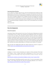

#### **International Board Meeting**

At our conference in Krakow earlier this year, the first international board meeting was held. Representatives of the ATAP, CATAP and AETAP were present at this historical event where the three boards met for the first time. Unfortunately the AATAP board could not be present, but they were at the  $2<sup>nd</sup>$  meeting on August the  $13<sup>th</sup>$  in Anaheim. The first two meetings were successful and motivated all four organizations to continue the cooperation and contributing to the global services for threat assessment professionals, and the development of our expert field. Therefore the  $3<sup>rd</sup>$  international meeting is scheduled for Vienna in 2013 on the Monday prior to the AETAP conference. 

*Bram 
 van 
 der 
 Meer*

# **New 
 developments**

#### **Research in progress**

*International Violence Risk Assessment On Line Survey.* The University of Manchester just started an international survey of violence risk assessment and management practices. Key questions are such as how are violence risk assessments conducted in practice, and what are clinicians' perceptions regarding the utility of structured instruments in the assessment and management of violence risk towards others? Differences between countries will be studied. Everyone who carries out behavioral threat assessments (from law enforcement perspective as well as mental health perspective) is invited to participate in this survey. See the attached Wordfile 'IRIS initial letter' and link to the relevant website address in it. This link is active until the  $15<sup>th</sup>$  of October!

Under the flag of the Stalking Risk Profile this website describes the *research in progress on stalking:* https://www.stalkingriskprofile.com/research/current-‐research

#### **Published research**

*Intelligence* is a forum to share and develop your expertise in threat assessment. Their latest issue (Volume 1, Issue 7, Summer 2012) refers to publications on 'Threats Posed by Radical Environmental and Animal Rights Groups','Using Social Media for Violence Prevention'. Visit their website: 

h*ttp://proactive-‐resolutions.com/newsletter/intelligence-‐volume-‐1-‐issue-‐7-‐summer-‐2012/*

Just a few days ago Dr. Reid Meloy posted his newest article: "the seven misconceptions of mass *murder*" on the Oxford University Press blog. This interesting publication can be found on: http://blog.oup.com/2012/09/seven-myths-of-mass-murder/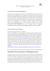

#### **Journal of Threat Assessment and Management**

Last but certainly not least, after so much effort from dr. Stephen Hart and his team of editors, dr. Reid Meloy, dr. Jens Hoffman, and dr. Lisa Warren, the official start of the Journal of Threat Assessment and Management has been informed. This is a tremendous and exciting step forward for threat assessment / management internationally. This journal will focus on operational aspects of threat assessment and -management. So it is not solely meant as a scientific journal -'best practices' and case studies can also be submitted. The first issue will be published in April 2013, and submissions are already accepted through the website: http://www.apa.org/pubs/journals/tam. Here you will also find a more thorough introduction to the journal. See also Intelligence for a list of requested topics for submission: http://proactive-resolutions.com/newsletter/intelligence-volume-1-issue-7-summer-2012/

#### **Threat Assessment Tools & Techniques**

#### Release Date Announced for Version 3 of the HCR-20

Version 2 of the HCR-20 is one of the world's most widely used and best-validated violence risk assessment instruments. Originally published in 1997, the HCR-20 V2 has been translated into about 20 different languages. Work on development of Version 3 has been in progress for several years now. A draft version has been translated into several different languages and pilot-tested in a number of countries including Canada, Sweden, Germany, the Netherlands, the United Kingdom, and the United States. HCR-20 V3 introductory conferences have been held in several countries over the past year. Recently, Kevin Douglas, a Professor of Psychology at Simon Fraser University, announced that the revision process is nearing its end. V3 will go to press at the end of 2012 and will be distributed in January 2013. Keep tuned to Intelligence for information regarding publication details and training workshops: see Intelligence: 

http://proactive-resolutions.com/newsletter/intelligence-volume-1-issue-7-summer-2012/

# **Operational: Threat Assessment- and Management Cases**

The keynote speakers at this year's ATAP conference held in Anaheim, California, Reid Meloy, Jens Hoffman and Bram van der Meer presented the mass murder case that occurred in Norway on 22 July 2011. Their presentation focused on warning behaviors as described in recent literature, and if these warning behaviors can be identified in this case. The presenters were not personally involved with the case and received their information from open sources. At the time of their talk it was still unknown what the sentence of the offender would be, and whether or not he would be found sane. But recently Judge Wenche Elisabeth Arntzen delivered her conclusions.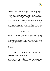

Anders Breivik, the man who killed 8 people and injured 209 by placing a bomb in Oslo, and then continued to Utoeya island where he killed 69 and injured 14, was sentenced to 21 years in jail.

The question whether or not Breivik suffered from serious mental disorder was a sensitive issue during the trial and court-appointed psychiatrists disagreed on his sanity. A first team examined Breivik and declared him to be a paranoid schizophrenic. The keynote speakers argued that their case analysis showed no signs of delusional behavior; they did however find rather clear indications of narcissism. Personality disorder they considered much more likely than psychosis.

Breivik said he did not recognize the court, but felt that they had "sided with the multicultural majority in parliament" and stated that the attacks were necessary to stop the "Islamisation" of Norway. He decided to methodically hunt down people, attacks that he had meticulously planned. During the 10-week trial Breivik showed no remorse but cried when the film that he had produced himself was presented during one of the court sessions. Anders Breivik regretted that he had not killed more for his cause.

Breivik was dressed in a black suit, white shirt and grey tie, and smirked while listening to the verdict. Besides the 21-year prison sentence, judge Arntzen stated that Breivik was not psychotic while carrying out the twin attacks. She considered him to be suffering from "narcissistic personality characteristics". Breivik is almost certain to end his life in prison. Although Norway has a maximum prison sentence of 21 years, Breivik could be sentenced to "preventive detention", which can be extended for as long as an inmate is considered dangerous to society.

Before the verdict, Breivik said psychiatric care would be "worse than death". Per Balch Soerensen, whose daughter was among those killed in the shootings on Utoeya island, told journalists: "He doesn't mean anything to me, he is just air."

*Bram 
 van 
 der 
 Meer Reid 
 Meloy Jens 
 Hoffmann*

# **International Associations, Professional Networks & Education**

**AETAP** annual conference: 23-26 of April 2013 in Vienna

Over many years AETAP has selected Europe's most fascinating and beautiful cities to host its annual conference. Continuing this tradition, AETAP is proud to announce the 2013 conference will take place in **Vienna, Austria**. The capital city has a long and epic history of empire, invasion and conflict situated in the strategic heart of Europe.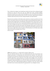

This is reflected in its elegant, once fortified Innere Stadt (city Centre) with a striking and unique architecture set along tree lined ring roads and cobbled back streets. Imposing buildings, monuments and parks were created around the Ringstrasse such as the Rathaus (town hall), the Parliament and the stately State Opera House. The inner city also has a huge selection of intimate, traditional coffee houses known for their relaxing atmosphere and superb pastries.

Restaurants, bars and bistros of all culinary styles and tastes are common around the city. For the art lover and cultural visitors the city hosts the modern and fascinating Museums Quartier, the Albertina and the elegant palaces at the Belvedere and Schonbrun Park. Today, Vienna is a major financial and tourist hub with a focus on international diplomacy. Consequently, life in the city is never short of intrigue and controversy. This harks back to the Cold War era when Vienna was on the front line of East versus West power games with espionage common place in commercial and political life. Walk around the Prater in the late evening with its lively funfair and attractive open spaces and you might still encounter the ghosts of 'The Third Man,' the 1949 film classic which captures the mystery and elegance that is Vienna.

*Roman 
 Pryomko* 



Hundertwasser House, Vienna

### **ATAP** annual conference, 14 - 16 August 2012 in Anaheim, California, USA

This was a historical conference since it was actually the first time when all associations were officially represented in a meeting before the actual ATAP 2012 conference. The results of the meeting have previously been mentioned in this newsletter, but the conference itself presented a wonderful opportunity to gain experiences of the oldest and the biggest event in the field of threat assessment and management. The topics presented a broad spectrum of assessment and management related presentations from across the continent and surely gave the audience their money's worth. Close to 800 participants gathered to Anaheim for four days and the AETAP board did it's best to network and promote the "European link" to our colleagues overseas.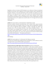

Hopefully we will see an increase of ATAP attendees in our conference in Vienna. As mentioned, president Van der Meer and dr. Hoffmann were the keynote speakers with dr. Reid Meloy, but during the conference we also had opportunities to look at possible new speakers for our 2013 conference as well. Stay tuned since we were able to secure some seasoned professionals but new speakers to AETAP to send in abstracts for 2013 Vienna conference. Every evening presented great networking in the form of hospitality suites as well as unofficial dinner meetings around Disney hotel area. You might want to mark the dates  $13<sup>th</sup>$ -16<sup>th</sup> August 2013 for the next annual conference.

*Totti 
 Karpela*

#### **CATAP** 2012 annual conference: 24-28 of September in Banff, Alberta, Canada.

World-class speakers presented interesting topics such as fixated threats, spousal homicide, honour based violence and workplace violence. No wonder that the organizational committee had to close the registration before the deadline. A number of thorough case studies were presented, such as "The Lori Dupont Homicide: A Case Study in Workplace Violence", "The Serial Predator: From Paraphilic Interest to Acting Out", and "The Shafia Family Homicides: A Case Study in Honour Based Violence". The latter case was examined and commented by an expert panel. The conference was a success and a good start for the board of CATAP and their new president Keith Hammond. The program can be found on:

http://www.atapworldwide.org/associations/8976/files/documents/20120612SyllabusWebsit e.pdf. 

*Henrik 
 Belfrage*

#### **AATAP** 2012 annual conference: 8 -9 of November 2012, Melbourne, Australia

The major focus of AATAP will be stalking and threat management. A call for abstracts as well as a message from the current AATAP president can be found on: http://www.atapworldwide.org/associations/8976/files/documents/AATAP.pdf

**European Network on Public Figure Threat Assessment**, Rotterdam, The Netherlands. Lieke Bootsma attended this conference. Her evaluation: "A wide variety of speakers and topics on public figure threat assessment, with excellent network opportunities. However, attendance is for civil servants only. It is their goal to stimulate exchange of knowledge between governmental organizations. Content: a forensic psychiatrist and a police officer (who didn't handle the case themselves) together gave their reflections on the Breivik case; David James and our Australian colleagues presented on professionalising risk assessment in cases of inappropriate attention towards public figures. During the afternoon there were several workshops, for instance about the European legislation for sharing sensitive information, and another workshop focussed on how to handle threats after incidents such as the Breivik case in Norway". Attached is a PDF-file of the lecture of Jolanda van Boven about the European legislation on and possibilities for sharing information. The  $4<sup>th</sup>$  annual conference will be held in Berlin (probably in May 2013). Juergen Ebner, Deputy Head of the Close Protection Division, BKA, will be organising the event.